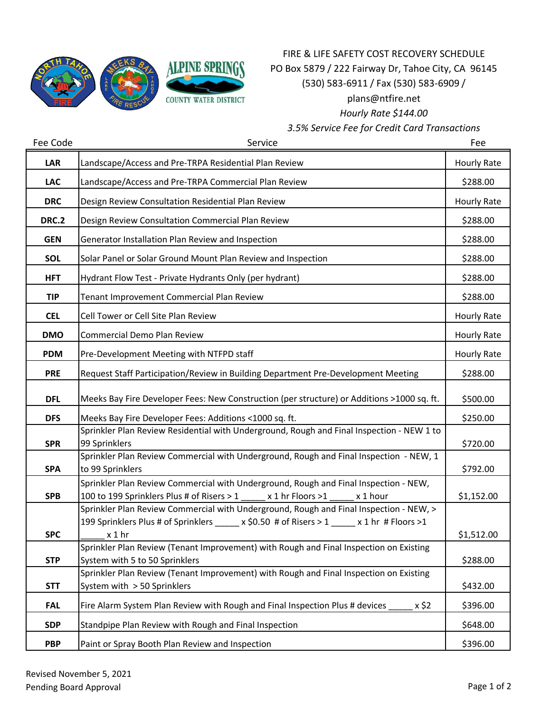

## FIRE & LIFE SAFETY COST RECOVERY SCHEDULE PO Box 5879 / 222 Fairway Dr, Tahoe City, CA 96145 (530) 583-6911 / Fax (530) 583-6909 / plans@ntfire.net *Hourly Rate \$144.00*

*3.5% Service Fee for Credit Card Transactions*

| Fee Code     | Service                                                                                                    | Fee                |
|--------------|------------------------------------------------------------------------------------------------------------|--------------------|
| LAR          | Landscape/Access and Pre-TRPA Residential Plan Review                                                      | <b>Hourly Rate</b> |
| <b>LAC</b>   | Landscape/Access and Pre-TRPA Commercial Plan Review                                                       | \$288.00           |
| <b>DRC</b>   | Design Review Consultation Residential Plan Review                                                         | <b>Hourly Rate</b> |
| <b>DRC.2</b> | Design Review Consultation Commercial Plan Review                                                          | \$288.00           |
| <b>GEN</b>   | Generator Installation Plan Review and Inspection                                                          | \$288.00           |
| SOL          | Solar Panel or Solar Ground Mount Plan Review and Inspection                                               | \$288.00           |
| <b>HFT</b>   | Hydrant Flow Test - Private Hydrants Only (per hydrant)                                                    | \$288.00           |
| <b>TIP</b>   | Tenant Improvement Commercial Plan Review                                                                  | \$288.00           |
| <b>CEL</b>   | Cell Tower or Cell Site Plan Review                                                                        | <b>Hourly Rate</b> |
| <b>DMO</b>   | <b>Commercial Demo Plan Review</b>                                                                         | <b>Hourly Rate</b> |
| <b>PDM</b>   | Pre-Development Meeting with NTFPD staff                                                                   | Hourly Rate        |
| <b>PRE</b>   | Request Staff Participation/Review in Building Department Pre-Development Meeting                          | \$288.00           |
|              |                                                                                                            |                    |
| <b>DFL</b>   | Meeks Bay Fire Developer Fees: New Construction (per structure) or Additions >1000 sq. ft.                 | \$500.00           |
| <b>DFS</b>   | Meeks Bay Fire Developer Fees: Additions <1000 sq. ft.                                                     | \$250.00           |
| <b>SPR</b>   | Sprinkler Plan Review Residential with Underground, Rough and Final Inspection - NEW 1 to<br>99 Sprinklers | \$720.00           |
|              | Sprinkler Plan Review Commercial with Underground, Rough and Final Inspection - NEW, 1                     |                    |
| <b>SPA</b>   | to 99 Sprinklers                                                                                           | \$792.00           |
|              | Sprinkler Plan Review Commercial with Underground, Rough and Final Inspection - NEW,                       |                    |
| <b>SPB</b>   | 100 to 199 Sprinklers Plus # of Risers > 1<br>x 1 hr Floors >1<br>x 1 hour                                 | \$1,152.00         |
|              | Sprinkler Plan Review Commercial with Underground, Rough and Final Inspection - NEW, >                     |                    |
| <b>SPC</b>   | 199 Sprinklers Plus # of Sprinklers _____ x \$0.50 # of Risers > 1 _____ x 1 hr # Floors >1<br>$x 1$ hr    | \$1,512.00         |
|              | Sprinkler Plan Review (Tenant Improvement) with Rough and Final Inspection on Existing                     |                    |
| <b>STP</b>   | System with 5 to 50 Sprinklers                                                                             | \$288.00           |
|              | Sprinkler Plan Review (Tenant Improvement) with Rough and Final Inspection on Existing                     |                    |
| <b>STT</b>   | System with > 50 Sprinklers                                                                                | \$432.00           |
| <b>FAL</b>   | Fire Alarm System Plan Review with Rough and Final Inspection Plus # devices<br>x \$2                      | \$396.00           |
| <b>SDP</b>   | Standpipe Plan Review with Rough and Final Inspection                                                      | \$648.00           |
| <b>PBP</b>   | Paint or Spray Booth Plan Review and Inspection                                                            | \$396.00           |